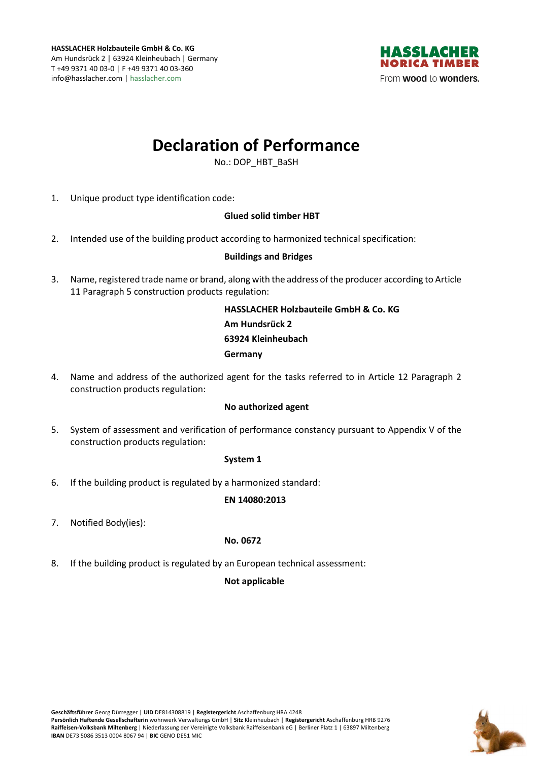

# **Declaration of Performance**

No.: DOP\_HBT\_BaSH

1. Unique product type identification code:

## **Glued solid timber HBT**

2. Intended use of the building product according to harmonized technical specification:

## **Buildings and Bridges**

3. Name, registered trade name or brand, along with the address of the producer according to Article 11 Paragraph 5 construction products regulation:

> **HASSLACHER Holzbauteile GmbH & Co. KG Am Hundsrück 2 63924 Kleinheubach Germany**

4. Name and address of the authorized agent for the tasks referred to in Article 12 Paragraph 2 construction products regulation:

#### **No authorized agent**

5. System of assessment and verification of performance constancy pursuant to Appendix V of the construction products regulation:

#### **System 1**

6. If the building product is regulated by a harmonized standard:

#### **EN 14080:2013**

7. Notified Body(ies):

#### **No. 0672**

8. If the building product is regulated by an European technical assessment:

## **Not applicable**

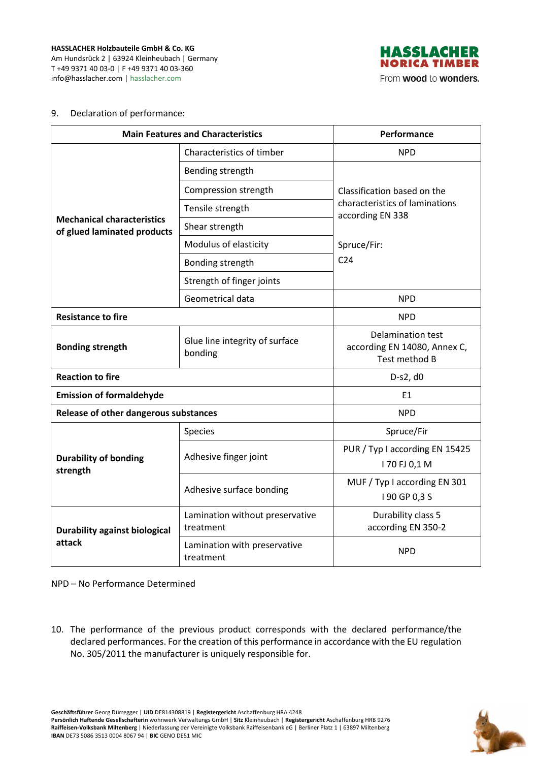**HASSLACHER Holzbauteile GmbH & Co. KG**  Am Hundsrück 2 | 63924 Kleinheubach | Germany T +49 9371 40 03-0 | F +49 9371 40 03-360 info@hasslacher.com | hasslacher.com



#### 9. Declaration of performance:

| <b>Main Features and Characteristics</b>                         |                                              | Performance                                                                       |
|------------------------------------------------------------------|----------------------------------------------|-----------------------------------------------------------------------------------|
| <b>Mechanical characteristics</b><br>of glued laminated products | Characteristics of timber                    | <b>NPD</b>                                                                        |
|                                                                  | Bending strength                             |                                                                                   |
|                                                                  | Compression strength                         | Classification based on the<br>characteristics of laminations<br>according EN 338 |
|                                                                  | Tensile strength                             |                                                                                   |
|                                                                  | Shear strength                               |                                                                                   |
|                                                                  | Modulus of elasticity                        | Spruce/Fir:                                                                       |
|                                                                  | Bonding strength                             | C <sub>24</sub>                                                                   |
|                                                                  | Strength of finger joints                    |                                                                                   |
|                                                                  | Geometrical data                             | <b>NPD</b>                                                                        |
| <b>Resistance to fire</b>                                        |                                              | <b>NPD</b>                                                                        |
| <b>Bonding strength</b>                                          | Glue line integrity of surface<br>bonding    | Delamination test<br>according EN 14080, Annex C,<br>Test method B                |
| <b>Reaction to fire</b>                                          |                                              | $D-S2, d0$                                                                        |
| <b>Emission of formaldehyde</b>                                  |                                              | E1                                                                                |
| Release of other dangerous substances                            |                                              | <b>NPD</b>                                                                        |
| <b>Durability of bonding</b><br>strength                         | Species                                      | Spruce/Fir                                                                        |
|                                                                  | Adhesive finger joint                        | PUR / Typ I according EN 15425<br>170 FJ 0,1 M                                    |
|                                                                  | Adhesive surface bonding                     | MUF / Typ I according EN 301<br>I 90 GP 0,3 S                                     |
| <b>Durability against biological</b><br>attack                   | Lamination without preservative<br>treatment | Durability class 5<br>according EN 350-2                                          |
|                                                                  | Lamination with preservative<br>treatment    | <b>NPD</b>                                                                        |

NPD – No Performance Determined

10. The performance of the previous product corresponds with the declared performance/the declared performances. For the creation of this performance in accordance with the EU regulation No. 305/2011 the manufacturer is uniquely responsible for.